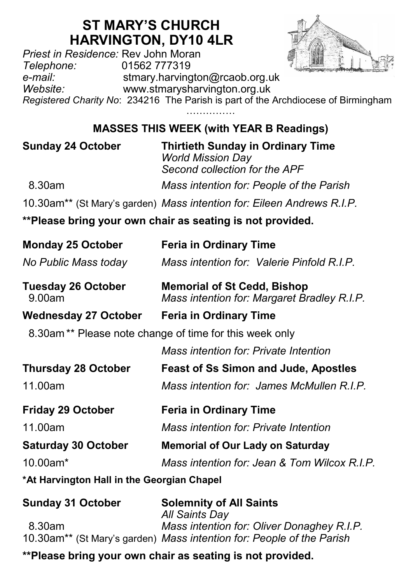## **ST MARY'S CHURCH HARVINGTON, DY10 4LR**

*Priest in Residence:* Rev John Moran *Telephone:* 01562 777319 *e-mail:* stmary.harvington@rcaob.org.uk *Website:* www.stmarysharvington.org.uk *Registered Charity No*: 234216 The Parish is part of the Archdiocese of Birmingham

**MASSES THIS WEEK (with YEAR B Readings)** 

| <b>Sunday 24 October</b>                   | <b>Thirtieth Sunday in Ordinary Time</b><br><b>World Mission Day</b><br>Second collection for the APF |
|--------------------------------------------|-------------------------------------------------------------------------------------------------------|
| 8.30am                                     | Mass intention for: People of the Parish                                                              |
|                                            | 10.30am** (St Mary's garden) Mass intention for: Eileen Andrews R.I.P.                                |
|                                            | **Please bring your own chair as seating is not provided.                                             |
| <b>Monday 25 October</b>                   | <b>Feria in Ordinary Time</b>                                                                         |
| No Public Mass today                       | Mass intention for: Valerie Pinfold R.I.P.                                                            |
| <b>Tuesday 26 October</b><br>9.00am        | <b>Memorial of St Cedd, Bishop</b><br>Mass intention for: Margaret Bradley R.I.P.                     |
| <b>Wednesday 27 October</b>                | <b>Feria in Ordinary Time</b>                                                                         |
|                                            | 8.30am** Please note change of time for this week only                                                |
|                                            | Mass intention for: Private Intention                                                                 |
| <b>Thursday 28 October</b>                 | <b>Feast of Ss Simon and Jude, Apostles</b>                                                           |
| 11.00am                                    | Mass intention for: James McMullen R.I.P.                                                             |
| <b>Friday 29 October</b>                   | <b>Feria in Ordinary Time</b>                                                                         |
| 11.00am                                    | Mass intention for: Private Intention                                                                 |
| <b>Saturday 30 October</b>                 | <b>Memorial of Our Lady on Saturday</b>                                                               |
| 10.00am*                                   | Mass intention for: Jean & Tom Wilcox R.I.P.                                                          |
| *At Harvington Hall in the Georgian Chapel |                                                                                                       |

| <b>Sunday 31 October</b> | <b>Solemnity of All Saints</b>                                                    |
|--------------------------|-----------------------------------------------------------------------------------|
|                          | <b>All Saints Day</b>                                                             |
| 8.30am                   | Mass intention for: Oliver Donaghey R.I.P.                                        |
|                          | 10.30am <sup>**</sup> (St Mary's garden) Mass intention for: People of the Parish |

**\*\*Please bring your own chair as seating is not provided.**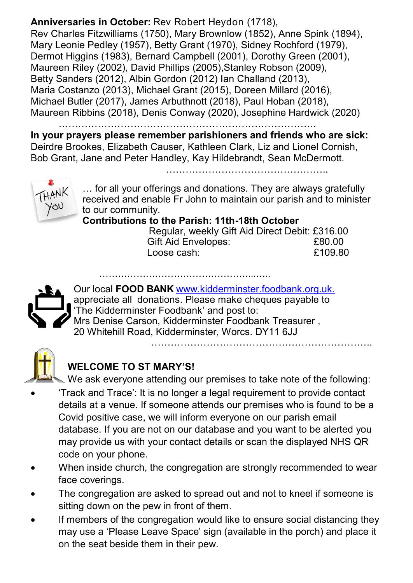**Anniversaries in October:** Rev Robert Heydon (1718), Rev Charles Fitzwilliams (1750), Mary Brownlow (1852), Anne Spink (1894), Mary Leonie Pedley (1957), Betty Grant (1970), Sidney Rochford (1979), Dermot Higgins (1983), Bernard Campbell (2001), Dorothy Green (2001), Maureen Riley (2002), David Phillips (2005), Stanley Robson (2009), Betty Sanders (2012), Albin Gordon (2012) Ian Challand (2013), Maria Costanzo (2013), Michael Grant (2015), Doreen Millard (2016), Michael Butler (2017), James Arbuthnott (2018), Paul Hoban (2018), Maureen Ribbins (2018), Denis Conway (2020), Josephine Hardwick (2020)

…………………………………………………………………….

**In your prayers please remember parishioners and friends who are sick:**  Deirdre Brookes, Elizabeth Causer, Kathleen Clark, Liz and Lionel Cornish, Bob Grant, Jane and Peter Handley, Kay Hildebrandt, Sean McDermott.

…………………………………………..



… for all your offerings and donations. They are always gratefully received and enable Fr John to maintain our parish and to minister to our community.

**Contributions to the Parish: 11th-18th October**

…………………………………………...…..

 Regular, weekly Gift Aid Direct Debit: £316.00 Gift Aid Envelopes:  $£80.00$  $\frac{1}{2}$  cose cash:  $\frac{1}{2}$  cose cash:  $\frac{1}{2}$  cose cash:  $\frac{1}{2}$  cose cash:  $\frac{1}{2}$  cose cash:  $\frac{1}{2}$  cose cash:  $\frac{1}{2}$  cose cash:  $\frac{1}{2}$  cose cash:  $\frac{1}{2}$  cose cash:  $\frac{1}{2}$  cose cash:  $\frac{1}{2}$  c

…………………………………………………………..



Our local **FOOD BANK** www.kidderminster.foodbank.org.uk. appreciate all donations. Please make cheques payable to 'The Kidderminster Foodbank' and post to: Mrs Denise Carson, Kidderminster Foodbank Treasurer , 20 Whitehill Road, Kidderminster, Worcs. DY11 6JJ



#### **WELCOME TO ST MARY'S!**

We ask everyone attending our premises to take note of the following:

- 'Track and Trace': It is no longer a legal requirement to provide contact details at a venue. If someone attends our premises who is found to be a Covid positive case, we will inform everyone on our parish email database. If you are not on our database and you want to be alerted you may provide us with your contact details or scan the displayed NHS QR code on your phone.
- When inside church, the congregation are strongly recommended to wear face coverings.
- The congregation are asked to spread out and not to kneel if someone is sitting down on the pew in front of them.
- If members of the congregation would like to ensure social distancing they may use a 'Please Leave Space' sign (available in the porch) and place it on the seat beside them in their pew.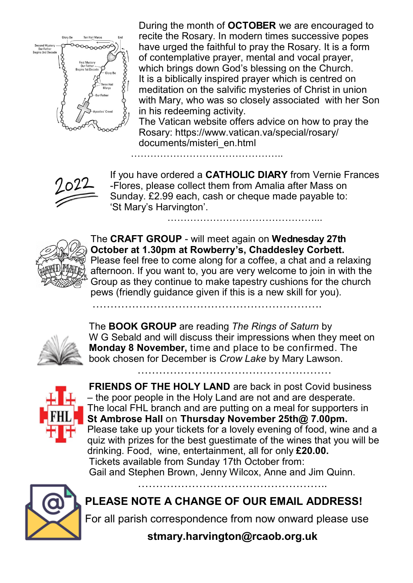

During the month of **OCTOBER** we are encouraged to recite the Rosary. In modern times successive popes have urged the faithful to pray the Rosary. It is a form of contemplative prayer, mental and vocal prayer, which brings down God's blessing on the Church. It is a biblically inspired prayer which is centred on meditation on the salvific mysteries of Christ in union with Mary, who was so closely associated with her Son in his redeeming activity.

The Vatican website offers advice on how to pray the Rosary: https://www.vatican.va/special/rosary/ documents/misteri\_en.html

If you have ordered a **CATHOLIC DIARY** from Vernie Frances -Flores, please collect them from Amalia after Mass on Sunday. £2.99 each, cash or cheque made payable to: 'St Mary's Harvington'. ………………………………………...

………………………………………..

……………………………………………………….



The **CRAFT GROUP** - will meet again on **Wednesday 27th October at 1.30pm at Rowberry's, Chaddesley Corbett.**  Please feel free to come along for a coffee, a chat and a relaxing afternoon. If you want to, you are very welcome to join in with the Group as they continue to make tapestry cushions for the church pews (friendly guidance given if this is a new skill for you).

The **BOOK GROUP** are reading *The Rings of Saturn* by W G Sebald and will discuss their impressions when they meet on **Monday 8 November,** time and place to be confirmed. The book chosen for December is *Crow Lake* by Mary Lawson.

………………………………………………



**FRIENDS OF THE HOLY LAND** are back in post Covid business – the poor people in the Holy Land are not and are desperate. The local FHL branch and are putting on a meal for supporters in **St Ambrose Hall** on **Thursday November 25th@ 7.00pm.**  Please take up your tickets for a lovely evening of food, wine and a quiz with prizes for the best guestimate of the wines that you will be drinking. Food, wine, entertainment, all for only **£20.00.** Tickets available from Sunday 17th October from: Gail and Stephen Brown, Jenny Wilcox, Anne and Jim Quinn.



**PLEASE NOTE A CHANGE OF OUR EMAIL ADDRESS!**

……………………………………………..

For all parish correspondence from now onward please use

**stmary.harvington@rcaob.org.uk**